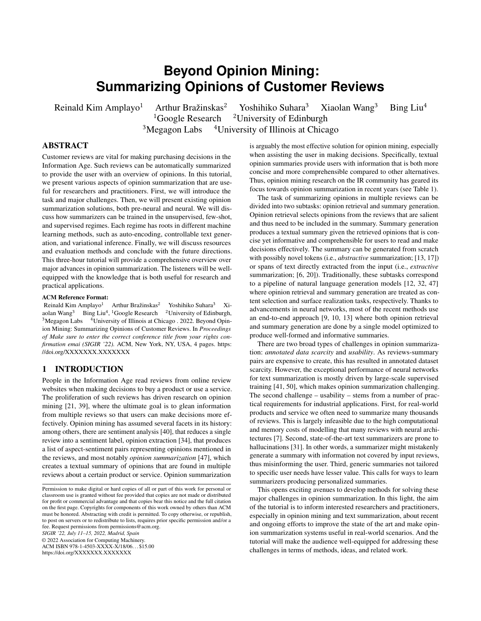# **Beyond Opinion Mining: Summarizing Opinions of Customer Reviews**

Reinald Kim Amplayo<sup>1</sup> Arthur Bražinskas<sup>2</sup> Yoshihiko Suhara<sup>3</sup> Xiaolan Wang<sup>3</sup> Bing Liu<sup>4</sup> <sup>1</sup>Google Research <sup>2</sup>University of Edinburgh  $3$ Megagon Labs  $4$ University of Illinois at Chicago

# ABSTRACT

Customer reviews are vital for making purchasing decisions in the Information Age. Such reviews can be automatically summarized to provide the user with an overview of opinions. In this tutorial, we present various aspects of opinion summarization that are useful for researchers and practitioners. First, we will introduce the task and major challenges. Then, we will present existing opinion summarization solutions, both pre-neural and neural. We will discuss how summarizers can be trained in the unsupervised, few-shot, and supervised regimes. Each regime has roots in different machine learning methods, such as auto-encoding, controllable text generation, and variational inference. Finally, we will discuss resources and evaluation methods and conclude with the future directions. This three-hour tutorial will provide a comprehensive overview over major advances in opinion summarization. The listeners will be wellequipped with the knowledge that is both useful for research and practical applications.

#### ACM Reference Format:

Reinald Kim Amplayo<sup>1</sup> Arthur Bražinskas<sup>2</sup> Yoshihiko Suhara<sup>3</sup> Xiaolan Wang<sup>3</sup> Bing Liu<sup>4</sup>, <sup>1</sup>Google Research <sup>2</sup>University of Edinburgh,  $3$ Megagon Labs  $4$ University of Illinois at Chicago . 2022. Beyond Opinion Mining: Summarizing Opinions of Customer Reviews. In *Proceedings of Make sure to enter the correct conference title from your rights confirmation emai (SIGIR '22).* ACM, New York, NY, USA, [4](#page-3-0) pages. [https:](https://doi.org/XXXXXXX.XXXXXXX) [//doi.org/XXXXXXX.XXXXXXX](https://doi.org/XXXXXXX.XXXXXXX)

## 1 INTRODUCTION

People in the Information Age read reviews from online review websites when making decisions to buy a product or use a service. The proliferation of such reviews has driven research on opinion mining [\[21,](#page-3-1) [39\]](#page-3-2), where the ultimate goal is to glean information from multiple reviews so that users can make decisions more effectively. Opinion mining has assumed several facets in its history: among others, there are sentiment analysis [\[40\]](#page-3-3), that reduces a single review into a sentiment label, opinion extraction [\[34\]](#page-3-4), that produces a list of aspect-sentiment pairs representing opinions mentioned in the reviews, and most notably *opinion summarization* [\[47\]](#page-3-5), which creates a textual summary of opinions that are found in multiple reviews about a certain product or service. Opinion summarization

*SIGIR '22, July 11–15, 2022, Madrid, Spain*

© 2022 Association for Computing Machinery.

ACM ISBN 978-1-4503-XXXX-X/18/06. . . \$15.00 <https://doi.org/XXXXXXX.XXXXXXX>

is arguably the most effective solution for opinion mining, especially when assisting the user in making decisions. Specifically, textual opinion summaries provide users with information that is both more concise and more comprehensible compared to other alternatives. Thus, opinion mining research on the IR community has geared its focus towards opinion summarization in recent years (see Table [1\)](#page-1-0).

The task of summarizing opinions in multiple reviews can be divided into two subtasks: opinion retrieval and summary generation. Opinion retrieval selects opinions from the reviews that are salient and thus need to be included in the summary. Summary generation produces a textual summary given the retrieved opinions that is concise yet informative and comprehensible for users to read and make decisions effectively. The summary can be generated from scratch with possibly novel tokens (i.e., *abstractive* summarization; [\[13,](#page-3-6) [17\]](#page-3-7)) or spans of text directly extracted from the input (i.e., *extractive* summarization; [\[6,](#page-3-8) [20\]](#page-3-9)). Traditionally, these subtasks correspond to a pipeline of natural language generation models [\[12,](#page-3-10) [32,](#page-3-11) [47\]](#page-3-5) where opinion retrieval and summary generation are treated as content selection and surface realization tasks, respectively. Thanks to advancements in neural networks, most of the recent methods use an end-to-end approach [\[9,](#page-3-12) [10,](#page-3-13) [13\]](#page-3-6) where both opinion retrieval and summary generation are done by a single model optimized to produce well-formed and informative summaries.

There are two broad types of challenges in opinion summarization: *annotated data scarcity* and *usability*. As reviews-summary pairs are expensive to create, this has resulted in annotated dataset scarcity. However, the exceptional performance of neural networks for text summarization is mostly driven by large-scale supervised training [\[41,](#page-3-14) [50\]](#page-3-15), which makes opinion summarization challenging. The second challenge – usability – stems from a number of practical requirements for industrial applications. First, for real-world products and service we often need to summarize many thousands of reviews. This is largely infeasible due to the high computational and memory costs of modelling that many reviews with neural architectures [\[7\]](#page-3-16). Second, state-of-the-art text summarizers are prone to hallucinations [\[31\]](#page-3-17). In other words, a summarizer might mistakenly generate a summary with information not covered by input reviews, thus misinforming the user. Third, generic summaries not tailored to specific user needs have lesser value. This calls for ways to learn summarizers producing personalized summaries.

This opens exciting avenues to develop methods for solving these major challenges in opinion summarization. In this light, the aim of the tutorial is to inform interested researchers and practitioners, especially in opinion mining and text summarization, about recent and ongoing efforts to improve the state of the art and make opinion summarization systems useful in real-world scenarios. And the tutorial will make the audience well-equipped for addressing these challenges in terms of methods, ideas, and related work.

Permission to make digital or hard copies of all or part of this work for personal or classroom use is granted without fee provided that copies are not made or distributed for profit or commercial advantage and that copies bear this notice and the full citation on the first page. Copyrights for components of this work owned by others than ACM must be honored. Abstracting with credit is permitted. To copy otherwise, or republish, to post on servers or to redistribute to lists, requires prior specific permission and/or a fee. Request permissions from permissions@acm.org.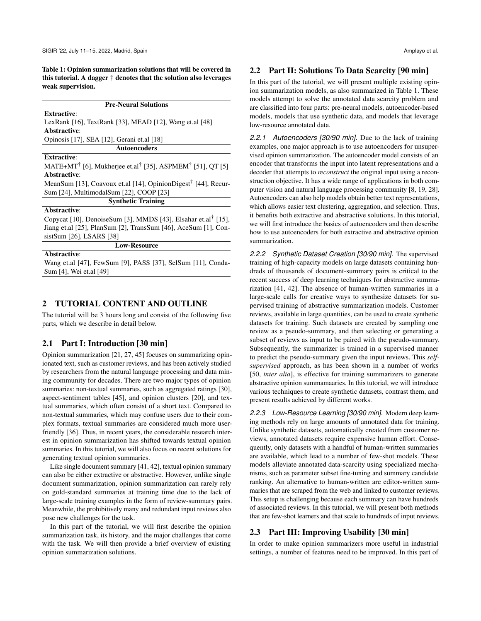<span id="page-1-0"></span>Table 1: Opinion summarization solutions that will be covered in this tutorial. A dagger † denotes that the solution also leverages weak supervision.

Pre-Neural Solutions

Extractive:

LexRank [\[16\]](#page-3-18), TextRank [\[33\]](#page-3-19), MEAD [\[12\]](#page-3-10), Wang et.al [\[48\]](#page-3-20) Abstractive:

Opinosis [\[17\]](#page-3-7), SEA [\[12\]](#page-3-10), Gerani et.al [\[18\]](#page-3-21)

#### Extractive:

MATE+MT† [\[6\]](#page-3-8), Mukherjee et.al† [\[35\]](#page-3-22), ASPMEM† [\[51\]](#page-3-23), QT [\[5\]](#page-3-24) Abstractive:

Autoencoders

MeanSum [\[13\]](#page-3-6), Coavoux et.al [\[14\]](#page-3-25), OpinionDigest<sup>†</sup> [\[44\]](#page-3-26), Recur-Sum [\[24\]](#page-3-27), MultimodalSum [\[22\]](#page-3-28), COOP [\[23\]](#page-3-29)

Synthetic Training

## Abstractive:

Copycat [\[10\]](#page-3-13), DenoiseSum [\[3\]](#page-3-30), MMDS [\[43\]](#page-3-31), Elsahar et.al<sup>†</sup> [\[15\]](#page-3-32), Jiang et.al [\[25\]](#page-3-33), PlanSum [\[2\]](#page-3-34), TransSum [\[46\]](#page-3-35), AceSum [\[1\]](#page-3-36), ConsistSum [\[26\]](#page-3-37), LSARS [\[38\]](#page-3-38)

Low-Resource

#### Abstractive:

Wang et.al [\[47\]](#page-3-5), FewSum [\[9\]](#page-3-12), PASS [\[37\]](#page-3-39), SelSum [\[11\]](#page-3-40), Conda-Sum [\[4\]](#page-3-41), Wei et.al [\[49\]](#page-3-42)

## 2 TUTORIAL CONTENT AND OUTLINE

The tutorial will be 3 hours long and consist of the following five parts, which we describe in detail below.

## 2.1 Part I: Introduction [30 min]

Opinion summarization [\[21,](#page-3-1) [27,](#page-3-43) [45\]](#page-3-44) focuses on summarizing opinionated text, such as customer reviews, and has been actively studied by researchers from the natural language processing and data mining community for decades. There are two major types of opinion summaries: non-textual summaries, such as aggregated ratings [\[30\]](#page-3-45), aspect-sentiment tables [\[45\]](#page-3-44), and opinion clusters [\[20\]](#page-3-9), and textual summaries, which often consist of a short text. Compared to non-textual summaries, which may confuse users due to their complex formats, textual summaries are considered much more userfriendly [\[36\]](#page-3-46). Thus, in recent years, the considerable research interest in opinion summarization has shifted towards textual opinion summaries. In this tutorial, we will also focus on recent solutions for generating textual opinion summaries.

Like single document summary [\[41,](#page-3-14) [42\]](#page-3-47), textual opinion summary can also be either extractive or abstractive. However, unlike single document summarization, opinion summarization can rarely rely on gold-standard summaries at training time due to the lack of large-scale training examples in the form of review-summary pairs. Meanwhile, the prohibitively many and redundant input reviews also pose new challenges for the task.

In this part of the tutorial, we will first describe the opinion summarization task, its history, and the major challenges that come with the task. We will then provide a brief overview of existing opinion summarization solutions.

#### 2.2 Part II: Solutions To Data Scarcity [90 min]

In this part of the tutorial, we will present multiple existing opinion summarization models, as also summarized in Table [1.](#page-1-0) These models attempt to solve the annotated data scarcity problem and are classified into four parts: pre-neural models, autoencoder-based models, models that use synthetic data, and models that leverage low-resource annotated data.

*2.2.1 Autoencoders [30/90 min].* Due to the lack of training examples, one major approach is to use autoencoders for unsupervised opinion summarization. The autoencoder model consists of an encoder that transforms the input into latent representations and a decoder that attempts to *reconstruct* the original input using a reconstruction objective. It has a wide range of applications in both computer vision and natural language processing community [\[8,](#page-3-48) [19,](#page-3-49) [28\]](#page-3-50). Autoencoders can also help models obtain better text representations, which allows easier text clustering, aggregation, and selection. Thus, it benefits both extractive and abstractive solutions. In this tutorial, we will first introduce the basics of autoencoders and then describe how to use autoencoders for both extractive and abstractive opinion summarization.

*2.2.2 Synthetic Dataset Creation [30/90 min].* The supervised training of high-capacity models on large datasets containing hundreds of thousands of document-summary pairs is critical to the recent success of deep learning techniques for abstractive summarization [\[41,](#page-3-14) [42\]](#page-3-47). The absence of human-written summaries in a large-scale calls for creative ways to synthesize datasets for supervised training of abstractive summarization models. Customer reviews, available in large quantities, can be used to create synthetic datasets for training. Such datasets are created by sampling one review as a pseudo-summary, and then selecting or generating a subset of reviews as input to be paired with the pseudo-summary. Subsequently, the summarizer is trained in a supervised manner to predict the pseudo-summary given the input reviews. This *selfsupervised* approach, as has been shown in a number of works [\[50,](#page-3-15) *inter alia*], is effective for training summarizers to generate abstractive opinion summamaaries. In this tutorial, we will introduce various techniques to create synthetic datasets, contrast them, and present results achieved by different works.

*2.2.3 Low-Resource Learning [30/90 min].* Modern deep learning methods rely on large amounts of annotated data for training. Unlike synthetic datasets, automatically created from customer reviews, annotated datasets require expensive human effort. Consequently, only datasets with a handful of human-written summaries are available, which lead to a number of few-shot models. These models alleviate annotated data-scarcity using specialized mechanisms, such as parameter subset fine-tuning and summary candidate ranking. An alternative to human-written are editor-written summaries that are scraped from the web and linked to customer reviews. This setup is challenging because each summary can have hundreds of associated reviews. In this tutorial, we will present both methods that are few-shot learners and that scale to hundreds of input reviews.

## 2.3 Part III: Improving Usability [30 min]

In order to make opinion summarizers more useful in industrial settings, a number of features need to be improved. In this part of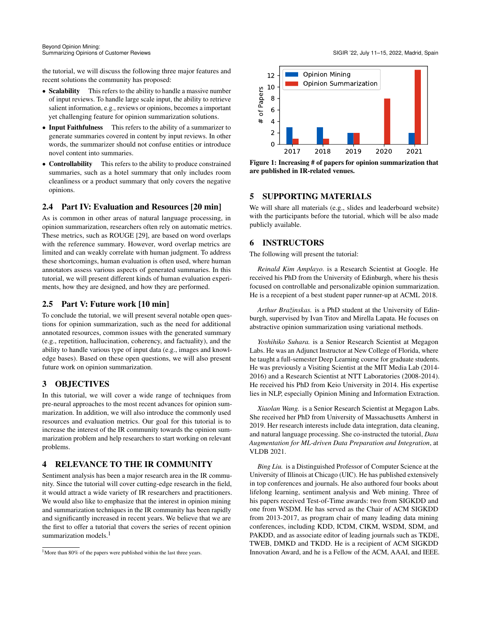the tutorial, we will discuss the following three major features and recent solutions the community has proposed:

- Scalability This refers to the ability to handle a massive number of input reviews. To handle large scale input, the ability to retrieve salient information, e.g., reviews or opinions, becomes a important yet challenging feature for opinion summarization solutions.
- Input Faithfulness This refers to the ability of a summarizer to generate summaries covered in content by input reviews. In other words, the summarizer should not confuse entities or introduce novel content into summaries.
- Controllability This refers to the ability to produce constrained summaries, such as a hotel summary that only includes room cleanliness or a product summary that only covers the negative opinions.

# 2.4 Part IV: Evaluation and Resources [20 min]

As is common in other areas of natural language processing, in opinion summarization, researchers often rely on automatic metrics. These metrics, such as ROUGE [\[29\]](#page-3-51), are based on word overlaps with the reference summary. However, word overlap metrics are limited and can weakly correlate with human judgment. To address these shortcomings, human evaluation is often used, where human annotators assess various aspects of generated summaries. In this tutorial, we will present different kinds of human evaluation experiments, how they are designed, and how they are performed.

## 2.5 Part V: Future work [10 min]

To conclude the tutorial, we will present several notable open questions for opinion summarization, such as the need for additional annotated resources, common issues with the generated summary (e.g., repetition, hallucination, coherency, and factuality), and the ability to handle various type of input data (e.g., images and knowledge bases). Based on these open questions, we will also present future work on opinion summarization.

# 3 OBJECTIVES

In this tutorial, we will cover a wide range of techniques from pre-neural approaches to the most recent advances for opinion summarization. In addition, we will also introduce the commonly used resources and evaluation metrics. Our goal for this tutorial is to increase the interest of the IR community towards the opinion summarization problem and help researchers to start working on relevant problems.

# 4 RELEVANCE TO THE IR COMMUNITY

Sentiment analysis has been a major research area in the IR community. Since the tutorial will cover cutting-edge research in the field, it would attract a wide variety of IR researchers and practitioners. We would also like to emphasize that the interest in opinion mining and summarization techniques in the IR community has been rapidly and significantly increased in recent years. We believe that we are the first to offer a tutorial that covers the series of recent opinion summarization models.<sup>[1](#page-2-0)</sup>



Figure 1: Increasing # of papers for opinion summarization that are published in IR-related venues.

## 5 SUPPORTING MATERIALS

We will share all materials (e.g., slides and leaderboard website) with the participants before the tutorial, which will be also made publicly available.

# 6 INSTRUCTORS

The following will present the tutorial:

*Reinald Kim Amplayo.* is a Research Scientist at Google. He received his PhD from the University of Edinburgh, where his thesis focused on controllable and personalizable opinion summarization. He is a recepient of a best student paper runner-up at ACML 2018.

*Arthur Bražinskas.* is a PhD student at the University of Edinburgh, supervised by Ivan Titov and Mirella Lapata. He focuses on abstractive opinion summarization using variational methods.

*Yoshihiko Suhara.* is a Senior Research Scientist at Megagon Labs. He was an Adjunct Instructor at New College of Florida, where he taught a full-semester Deep Learning course for graduate students. He was previously a Visiting Scientist at the MIT Media Lab (2014- 2016) and a Research Scientist at NTT Laboratories (2008-2014). He received his PhD from Keio University in 2014. His expertise lies in NLP, especially Opinion Mining and Information Extraction.

*Xiaolan Wang.* is a Senior Research Scientist at Megagon Labs. She received her PhD from University of Massachusetts Amherst in 2019. Her research interests include data integration, data cleaning, and natural language processing. She co-instructed the tutorial, *Data Augmentation for ML-driven Data Preparation and Integration*, at VLDB 2021.

*Bing Liu.* is a Distinguished Professor of Computer Science at the University of Illinois at Chicago (UIC). He has published extensively in top conferences and journals. He also authored four books about lifelong learning, sentiment analysis and Web mining. Three of his papers received Test-of-Time awards: two from SIGKDD and one from WSDM. He has served as the Chair of ACM SIGKDD from 2013-2017, as program chair of many leading data mining conferences, including KDD, ICDM, CIKM, WSDM, SDM, and PAKDD, and as associate editor of leading journals such as TKDE, TWEB, DMKD and TKDD. He is a recipient of ACM SIGKDD Innovation Award, and he is a Fellow of the ACM, AAAI, and IEEE.

<span id="page-2-0"></span><sup>&</sup>lt;sup>1</sup>More than 80% of the papers were published within the last three years.